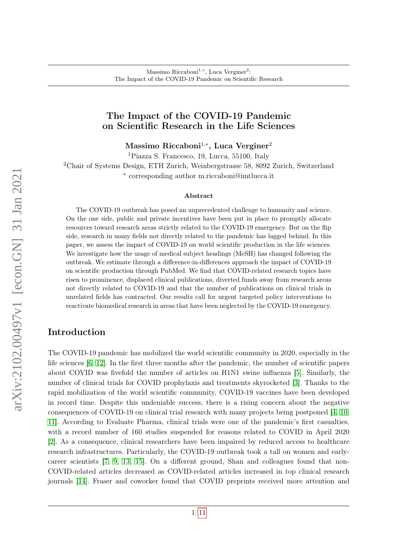### The Impact of the COVID-19 Pandemic on Scientific Research in the Life Sciences

Massimo Riccaboni<sup>1,\*</sup>, Luca Verginer<sup>2</sup>

<sup>1</sup>Piazza S. Francesco, 19, Lucca, 55100, Italy

<sup>2</sup>Chair of Systems Design, ETH Zurich, Weinbergstrasse 58, 8092 Zurich, Switzerland ∗ corresponding author m.riccaboni@imtlucca.it

#### Abstract

The COVID-19 outbreak has posed an unprecedented challenge to humanity and science. On the one side, public and private incentives have been put in place to promptly allocate resources toward research areas strictly related to the COVID-19 emergency. But on the flip side, research in many fields not directly related to the pandemic has lagged behind. In this paper, we assess the impact of COVID-19 on world scientific production in the life sciences. We investigate how the usage of medical subject headings (MeSH) has changed following the outbreak. We estimate through a difference-in-differences approach the impact of COVID-19 on scientific production through PubMed. We find that COVID-related research topics have risen to prominence, displaced clinical publications, diverted funds away from research areas not directly related to COVID-19 and that the number of publications on clinical trials in unrelated fields has contracted. Our results call for urgent targeted policy interventions to reactivate biomedical research in areas that have been neglected by the COVID-19 emergency.

### Introduction

The COVID-19 pandemic has mobilized the world scientific community in 2020, especially in the life sciences [\[6,](#page-9-0) [12\]](#page-9-1). In the first three months after the pandemic, the number of scientific papers about COVID was fivefold the number of articles on H1N1 swine influenza [\[5\]](#page-9-2). Similarly, the number of clinical trials for COVID prophylaxis and treatments skyrocketed [\[3\]](#page-9-3). Thanks to the rapid mobilization of the world scientific community, COVID-19 vaccines have been developed in record time. Despite this undeniable success, there is a rising concern about the negative consequences of COVID-19 on clinical trial research with many projects being postponed [\[4,](#page-9-4) [10,](#page-9-5) [11\]](#page-9-6). According to Evaluate Pharma, clinical trials were one of the pandemic's first casualties, with a record number of 160 studies suspended for reasons related to COVID in April 2020 [\[2\]](#page-9-7). As a consequence, clinical researchers have been impaired by reduced access to healthcare research infrastructures. Particularly, the COVID-19 outbreak took a tall on women and earlycareer scientists [\[7,](#page-9-8) [9,](#page-9-9) [13,](#page-10-0) [15\]](#page-10-1). On a different ground, Shan and colleagues found that non-COVID-related articles decreased as COVID-related articles increased in top clinical research journals [\[14\]](#page-10-2). Fraser and coworker found that COVID preprints received more attention and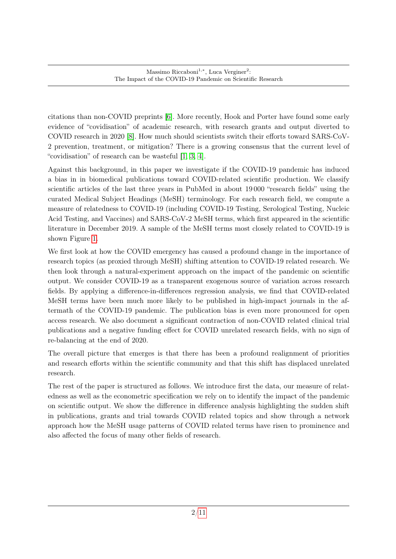citations than non-COVID preprints [\[6\]](#page-9-0). More recently, Hook and Porter have found some early evidence of "covidisation" of academic research, with research grants and output diverted to COVID research in 2020 [\[8\]](#page-9-10). How much should scientists switch their efforts toward SARS-CoV-2 prevention, treatment, or mitigation? There is a growing consensus that the current level of "covidisation" of research can be wasteful [\[1,](#page-9-11) [3,](#page-9-3) [4\]](#page-9-4).

Against this background, in this paper we investigate if the COVID-19 pandemic has induced a bias in in biomedical publications toward COVID-related scientific production. We classify scientific articles of the last three years in PubMed in about 19 000 "research fields" using the curated Medical Subject Headings (MeSH) terminology. For each research field, we compute a measure of relatedness to COVID-19 (including COVID-19 Testing, Serological Testing, Nucleic Acid Testing, and Vaccines) and SARS-CoV-2 MeSH terms, which first appeared in the scientific literature in December 2019. A sample of the MeSH terms most closely related to COVID-19 is shown Figure [1.](#page-2-0)

We first look at how the COVID emergency has caused a profound change in the importance of research topics (as proxied through MeSH) shifting attention to COVID-19 related research. We then look through a natural-experiment approach on the impact of the pandemic on scientific output. We consider COVID-19 as a transparent exogenous source of variation across research fields. By applying a difference-in-differences regression analysis, we find that COVID-related MeSH terms have been much more likely to be published in high-impact journals in the aftermath of the COVID-19 pandemic. The publication bias is even more pronounced for open access research. We also document a significant contraction of non-COVID related clinical trial publications and a negative funding effect for COVID unrelated research fields, with no sign of re-balancing at the end of 2020.

The overall picture that emerges is that there has been a profound realignment of priorities and research efforts within the scientific community and that this shift has displaced unrelated research.

The rest of the paper is structured as follows. We introduce first the data, our measure of relatedness as well as the econometric specification we rely on to identify the impact of the pandemic on scientific output. We show the difference in difference analysis highlighting the sudden shift in publications, grants and trial towards COVID related topics and show through a network approach how the MeSH usage patterns of COVID related terms have risen to prominence and also affected the focus of many other fields of research.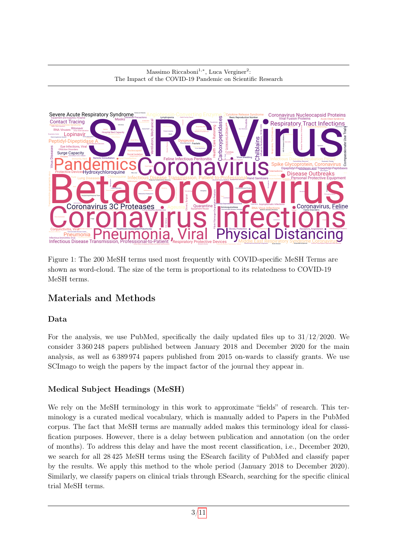

<span id="page-2-0"></span>Figure 1: The 200 MeSH terms used most frequently with COVID-specific MeSH Terms are shown as word-cloud. The size of the term is proportional to its relatedness to COVID-19 MeSH terms.

# Materials and Methods

# Data

For the analysis, we use PubMed, specifically the daily updated files up to 31/12/2020. We consider 3 360 248 papers published between January 2018 and December 2020 for the main analysis, as well as 6 389 974 papers published from 2015 on-wards to classify grants. We use SCImago to weigh the papers by the impact factor of the journal they appear in.

# Medical Subject Headings (MeSH)

We rely on the MeSH terminology in this work to approximate "fields" of research. This terminology is a curated medical vocabulary, which is manually added to Papers in the PubMed corpus. The fact that MeSH terms are manually added makes this terminology ideal for classification purposes. However, there is a delay between publication and annotation (on the order of months). To address this delay and have the most recent classification, i.e., December 2020, we search for all 28 425 MeSH terms using the ESearch facility of PubMed and classify paper by the results. We apply this method to the whole period (January 2018 to December 2020). Similarly, we classify papers on clinical trials through ESearch, searching for the specific clinical trial MeSH terms.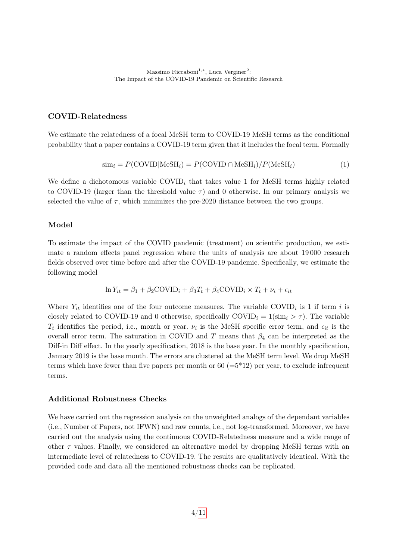#### COVID-Relatedness

We estimate the relatedness of a focal MeSH term to COVID-19 MeSH terms as the conditional probability that a paper contains a COVID-19 term given that it includes the focal term. Formally

$$
\text{sim}_{i} = P(\text{COVID}|\text{MeSH}_{i}) = P(\text{COVID} \cap \text{MeSH}_{i}) / P(\text{MeSH}_{i}) \tag{1}
$$

We define a dichotomous variable  $\text{COVID}_i$  that takes value 1 for MeSH terms highly related to COVID-19 (larger than the threshold value  $\tau$ ) and 0 otherwise. In our primary analysis we selected the value of  $\tau$ , which minimizes the pre-2020 distance between the two groups.

### Model

To estimate the impact of the COVID pandemic (treatment) on scientific production, we estimate a random effects panel regression where the units of analysis are about 19 000 research fields observed over time before and after the COVID-19 pandemic. Specifically, we estimate the following model

$$
\ln Y_{it} = \beta_1 + \beta_2 \text{COVID}_i + \beta_3 T_t + \beta_4 \text{COVID}_i \times T_t + \nu_i + \epsilon_{it}
$$

Where  $Y_{it}$  identifies one of the four outcome measures. The variable COVID<sub>i</sub> is 1 if term i is closely related to COVID-19 and 0 otherwise, specifically  $\text{COVID}_i = 1(\text{sim}_i > \tau)$ . The variable  $T_t$  identifies the period, i.e., month or year.  $\nu_i$  is the MeSH specific error term, and  $\epsilon_{it}$  is the overall error term. The saturation in COVID and T means that  $\beta_4$  can be interpreted as the Diff-in Diff effect. In the yearly specification, 2018 is the base year. In the monthly specification, January 2019 is the base month. The errors are clustered at the MeSH term level. We drop MeSH terms which have fewer than five papers per month or  $60 \, (=5^*12)$  per year, to exclude infrequent terms.

### Additional Robustness Checks

We have carried out the regression analysis on the unweighted analogs of the dependant variables (i.e., Number of Papers, not IFWN) and raw counts, i.e., not log-transformed. Moreover, we have carried out the analysis using the continuous COVID-Relatedness measure and a wide range of other  $\tau$  values. Finally, we considered an alternative model by dropping MeSH terms with an intermediate level of relatedness to COVID-19. The results are qualitatively identical. With the provided code and data all the mentioned robustness checks can be replicated.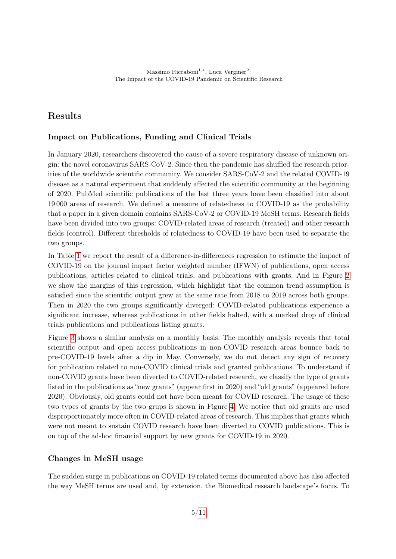# Results

## Impact on Publications, Funding and Clinical Trials

In January 2020, researchers discovered the cause of a severe respiratory disease of unknown origin: the novel coronavirus SARS-CoV-2. Since then the pandemic has shuffled the research priorities of the worldwide scientific community. We consider SARS-CoV-2 and the related COVID-19 disease as a natural experiment that suddenly affected the scientific community at the beginning of 2020. PubMed scientific publications of the last three years have been classified into about 19 000 areas of research. We defined a measure of relatedness to COVID-19 as the probability that a paper in a given domain contains SARS-CoV-2 or COVID-19 MeSH terms. Research fields have been divided into two groups: COVID-related areas of research (treated) and other research fields (control). Different thresholds of relatedness to COVID-19 have been used to separate the two groups.

In Table [1](#page-5-0) we report the result of a difference-in-differences regression to estimate the impact of COVID-19 on the journal impact factor weighted number (IFWN) of publications, open access publications, articles related to clinical trials, and publications with grants. And in Figure [2](#page-6-0) we show the margins of this regression, which highlight that the common trend assumption is satisfied since the scientific output grew at the same rate from 2018 to 2019 across both groups. Then in 2020 the two groups significantly diverged: COVID-related publications experience a significant increase, whereas publications in other fields halted, with a marked drop of clinical trials publications and publications listing grants.

Figure [3](#page-7-0) shows a similar analysis on a monthly basis. The monthly analysis reveals that total scientific output and open access publications in non-COVID research areas bounce back to pre-COVID-19 levels after a dip in May. Conversely, we do not detect any sign of recovery for publication related to non-COVID clinical trials and granted publications. To understand if non-COVID grants have been diverted to COVID-related research, we classify the type of grants listed in the publications as "new grants" (appear first in 2020) and "old grants" (appeared before 2020). Obviously, old grants could not have been meant for COVID research. The usage of these two types of grants by the two grups is shown in Figure [4.](#page-7-1) We notice that old grants are used disproportionately more often in COVID-related areas of research. This implies that grants which were not meant to sustain COVID research have been diverted to COVID publications. This is on top of the ad-hoc financial support by new grants for COVID-19 in 2020.

### Changes in MeSH usage

The sudden surge in publications on COVID-19 related terms documented above has also affected the way MeSH terms are used and, by extension, the Biomedical research landscape's focus. To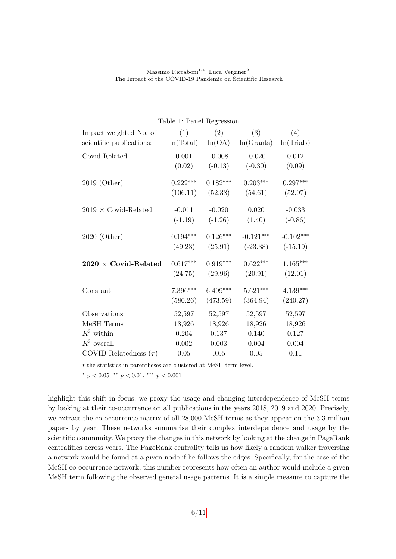| Table 1: Panel Regression      |            |            |             |             |
|--------------------------------|------------|------------|-------------|-------------|
| Impact weighted No. of         | (1)        | (2)        | (3)         | (4)         |
| scientific publications:       | ln(Total)  | ln(OA)     | ln(Grants)  | ln(Trials)  |
| Covid-Related                  | 0.001      | $-0.008$   | $-0.020$    | 0.012       |
|                                | (0.02)     | $(-0.13)$  | $(-0.30)$   | (0.09)      |
| 2019 (Other)                   | $0.222***$ | $0.182***$ | $0.203***$  | $0.297***$  |
|                                | (106.11)   | (52.38)    | (54.61)     | (52.97)     |
| $2019 \times$ Covid-Related    | $-0.011$   | $-0.020$   | 0.020       | $-0.033$    |
|                                | $(-1.19)$  | $(-1.26)$  | (1.40)      | $(-0.86)$   |
| 2020 (Other)                   | $0.194***$ | $0.126***$ | $-0.121***$ | $-0.102***$ |
|                                | (49.23)    | (25.91)    | $(-23.38)$  | $(-15.19)$  |
| $2020\,\times\,$ Covid-Related | $0.617***$ | $0.919***$ | $0.622***$  | $1.165***$  |
|                                | (24.75)    | (29.96)    | (20.91)     | (12.01)     |
| Constant                       | 7.396***   | 6.499***   | $5.621***$  | 4.139***    |
|                                | (580.26)   | (473.59)   | (364.94)    | (240.27)    |
| Observations                   | 52,597     | 52,597     | 52,597      | 52,597      |
| MeSH Terms                     | 18,926     | 18,926     | 18,926      | 18,926      |
| $R^2$ within                   | 0.204      | 0.137      | 0.140       | 0.127       |
| $R^2$ overall                  | 0.002      | 0.003      | 0.004       | 0.004       |
| COVID Relatedness $(\tau)$     | $0.05\,$   | 0.05       | 0.05        | 0.11        |

<span id="page-5-0"></span>Table 1: Panel Regression

t the statistics in parentheses are clustered at MeSH term level.

\*  $p < 0.05$ , \*\*  $p < 0.01$ , \*\*\*  $p < 0.001$ 

highlight this shift in focus, we proxy the usage and changing interdependence of MeSH terms by looking at their co-occurrence on all publications in the years 2018, 2019 and 2020. Precisely, we extract the co-occurrence matrix of all 28,000 MeSH terms as they appear on the 3.3 million papers by year. These networks summarise their complex interdependence and usage by the scientific community. We proxy the changes in this network by looking at the change in PageRank centralities across years. The PageRank centrality tells us how likely a random walker traversing a network would be found at a given node if he follows the edges. Specifically, for the case of the MeSH co-occurrence network, this number represents how often an author would include a given MeSH term following the observed general usage patterns. It is a simple measure to capture the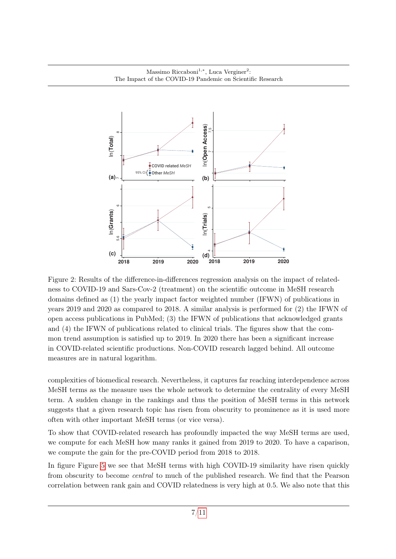

<span id="page-6-0"></span>Figure 2: Results of the difference-in-differences regression analysis on the impact of relatedness to COVID-19 and Sars-Cov-2 (treatment) on the scientific outcome in MeSH research domains defined as (1) the yearly impact factor weighted number (IFWN) of publications in years 2019 and 2020 as compared to 2018. A similar analysis is performed for (2) the IFWN of open access publications in PubMed; (3) the IFWN of publications that acknowledged grants and (4) the IFWN of publications related to clinical trials. The figures show that the common trend assumption is satisfied up to 2019. In 2020 there has been a significant increase in COVID-related scientific productions. Non-COVID research lagged behind. All outcome measures are in natural logarithm.

complexities of biomedical research. Nevertheless, it captures far reaching interdependence across MeSH terms as the measure uses the whole network to determine the centrality of every MeSH term. A sudden change in the rankings and thus the position of MeSH terms in this network suggests that a given research topic has risen from obscurity to prominence as it is used more often with other important MeSH terms (or vice versa).

To show that COVID-related research has profoundly impacted the way MeSH terms are used, we compute for each MeSH how many ranks it gained from 2019 to 2020. To have a caparison, we compute the gain for the pre-COVID period from 2018 to 2018.

In figure Figure [5](#page-8-0) we see that MeSH terms with high COVID-19 similarity have risen quickly from obscurity to become central to much of the published research. We find that the Pearson correlation between rank gain and COVID relatedness is very high at 0.5. We also note that this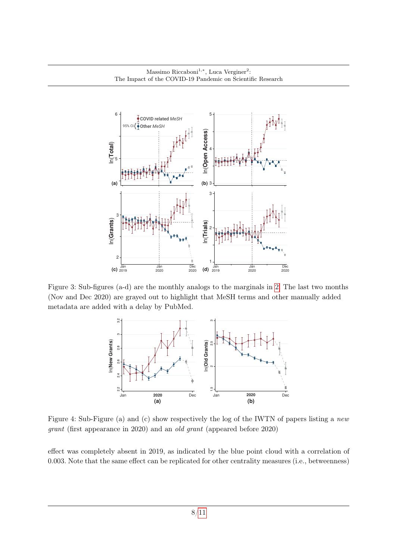

<span id="page-7-0"></span>Figure 3: Sub-figures (a-d) are the monthly analogs to the marginals in [2.](#page-6-0) The last two months (Nov and Dec 2020) are grayed out to highlight that MeSH terms and other manually added metadata are added with a delay by PubMed.



<span id="page-7-1"></span>Figure 4: Sub-Figure (a) and (c) show respectively the log of the IWTN of papers listing a new grant (first appearance in 2020) and an old grant (appeared before 2020)

effect was completely absent in 2019, as indicated by the blue point cloud with a correlation of 0.003. Note that the same effect can be replicated for other centrality measures (i.e., betweenness)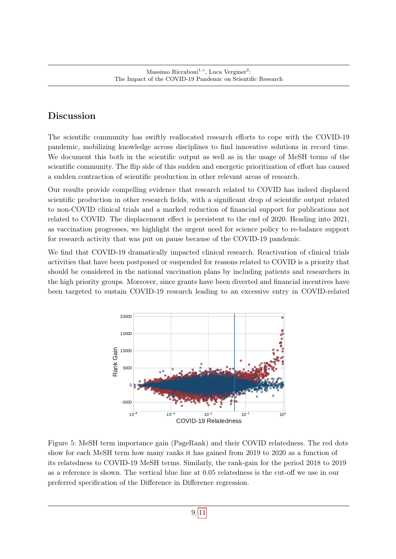# Discussion

The scientific community has swiftly reallocated research efforts to cope with the COVID-19 pandemic, mobilizing knowledge across disciplines to find innovative solutions in record time. We document this both in the scientific output as well as in the usage of MeSH terms of the scientific community. The flip side of this sudden and energetic prioritization of effort has caused a sudden contraction of scientific production in other relevant areas of research.

Our results provide compelling evidence that research related to COVID has indeed displaced scientific production in other research fields, with a significant drop of scientific output related to non-COVID clinical trials and a marked reduction of financial support for publications not related to COVID. The displacement effect is persistent to the end of 2020. Heading into 2021, as vaccination progresses, we highlight the urgent need for science policy to re-balance support for research activity that was put on pause because of the COVID-19 pandemic.

We find that COVID-19 dramatically impacted clinical research. Reactivation of clinical trials activities that have been postponed or suspended for reasons related to COVID is a priority that should be considered in the national vaccination plans by including patients and researchers in the high priority groups. Moreover, since grants have been diverted and financial incentives have been targeted to sustain COVID-19 research leading to an excessive entry in COVID-related



<span id="page-8-0"></span>Figure 5: MeSH term importance gain (PageRank) and their COVID relatedness. The red dots show for each MeSH term how many ranks it has gained from 2019 to 2020 as a function of its relatedness to COVID-19 MeSH terms. Similarly, the rank-gain for the period 2018 to 2019 as a reference is shown. The vertical blue line at 0.05 relatedness is the cut-off we use in our preferred specification of the Difference in Difference regression.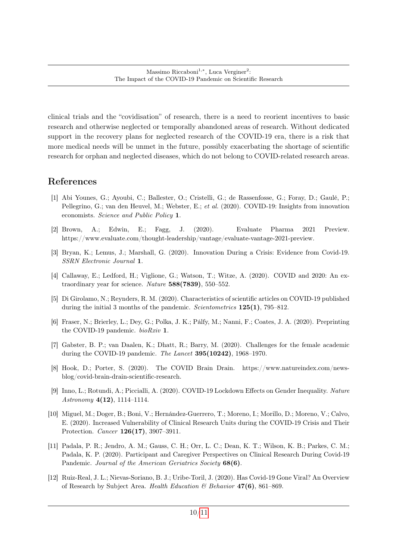clinical trials and the "covidisation" of research, there is a need to reorient incentives to basic research and otherwise neglected or temporally abandoned areas of research. Without dedicated support in the recovery plans for neglected research of the COVID-19 era, there is a risk that more medical needs will be unmet in the future, possibly exacerbating the shortage of scientific research for orphan and neglected diseases, which do not belong to COVID-related research areas.

### References

- <span id="page-9-11"></span>[1] Abi Younes, G.; Ayoubi, C.; Ballester, O.; Cristelli, G.; de Rassenfosse, G.; Foray, D.; Gaulé, P.; Pellegrino, G.; van den Heuvel, M.; Webster, E.; et al. (2020). COVID-19: Insights from innovation economists. Science and Public Policy 1.
- <span id="page-9-7"></span>[2] Brown, A.; Edwin, E.; Fagg, J. (2020). Evaluate Pharma 2021 Preview. https://www.evaluate.com/thought-leadership/vantage/evaluate-vantage-2021-preview.
- <span id="page-9-3"></span>[3] Bryan, K.; Lemus, J.; Marshall, G. (2020). Innovation During a Crisis: Evidence from Covid-19. SSRN Electronic Journal 1.
- <span id="page-9-4"></span>[4] Callaway, E.; Ledford, H.; Viglione, G.; Watson, T.; Witze, A. (2020). COVID and 2020: An extraordinary year for science. Nature  $588(7839)$ , 550–552.
- <span id="page-9-2"></span>[5] Di Girolamo, N.; Reynders, R. M. (2020). Characteristics of scientific articles on COVID-19 published during the initial 3 months of the pandemic. Scientometrics  $125(1)$ , 795–812.
- <span id="page-9-0"></span>[6] Fraser, N.; Brierley, L.; Dey, G.; Polka, J. K.; Pálfy, M.; Nanni, F.; Coates, J. A. (2020). Preprinting the COVID-19 pandemic. bioRxiv 1.
- <span id="page-9-8"></span>[7] Gabster, B. P.; van Daalen, K.; Dhatt, R.; Barry, M. (2020). Challenges for the female academic during the COVID-19 pandemic. The Lancet **395(10242)**, 1968–1970.
- <span id="page-9-10"></span>[8] Hook, D.; Porter, S. (2020). The COVID Brain Drain. https://www.natureindex.com/newsblog/covid-brain-drain-scientific-research.
- <span id="page-9-9"></span>[9] Inno, L.; Rotundi, A.; Piccialli, A. (2020). COVID-19 Lockdown Effects on Gender Inequality. Nature Astronomy  $4(12)$ , 1114–1114.
- <span id="page-9-5"></span>[10] Miguel, M.; Doger, B.; Boni, V.; Hernández-Guerrero, T.; Moreno, I.; Morillo, D.; Moreno, V.; Calvo, E. (2020). Increased Vulnerability of Clinical Research Units during the COVID-19 Crisis and Their Protection. Cancer 126(17), 3907–3911.
- <span id="page-9-6"></span>[11] Padala, P. R.; Jendro, A. M.; Gauss, C. H.; Orr, L. C.; Dean, K. T.; Wilson, K. B.; Parkes, C. M.; Padala, K. P. (2020). Participant and Caregiver Perspectives on Clinical Research During Covid-19 Pandemic. Journal of the American Geriatrics Society 68(6).
- <span id="page-9-1"></span>[12] Ruiz-Real, J. L.; Nievas-Soriano, B. J.; Uribe-Toril, J. (2020). Has Covid-19 Gone Viral? An Overview of Research by Subject Area. Health Education & Behavior 47(6), 861-869.